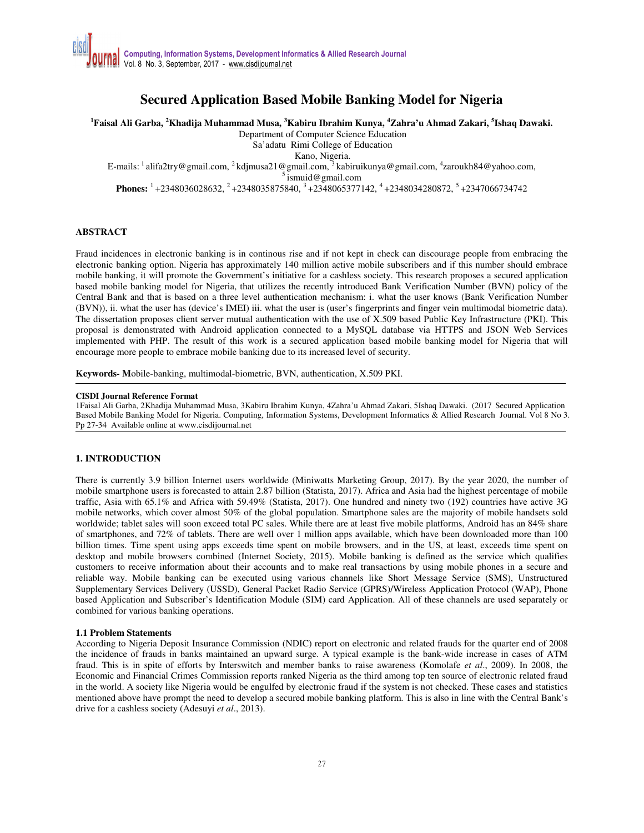# **Secured Application Based Mobile Banking Model for Nigeria**

**<sup>1</sup>Faisal Ali Garba, <sup>2</sup>Khadija Muhammad Musa, <sup>3</sup>Kabiru Ibrahim Kunya, <sup>4</sup>Zahra'u Ahmad Zakari, <sup>5</sup> Ishaq Dawaki.** 

Department of Computer Science Education

Sa'adatu Rimi College of Education

Kano, Nigeria.

E-mails: <sup>1</sup> alifa2try@gmail.com, <sup>2</sup> kdjmusa21@gmail.com, <sup>3</sup> kabiruikunya@gmail.com, <sup>4</sup>zaroukh84@yahoo.com,

 $^5$  ismuid@gmail.com

**Phones:** <sup>1</sup>+2348036028632, <sup>2</sup>+2348035875840, <sup>3</sup>+2348065377142, <sup>4</sup>+2348034280872, <sup>5</sup>+2347066734742

## **ABSTRACT**

Fraud incidences in electronic banking is in continous rise and if not kept in check can discourage people from embracing the electronic banking option. Nigeria has approximately 140 million active mobile subscribers and if this number should embrace mobile banking, it will promote the Government's initiative for a cashless society. This research proposes a secured application based mobile banking model for Nigeria, that utilizes the recently introduced Bank Verification Number (BVN) policy of the Central Bank and that is based on a three level authentication mechanism: i. what the user knows (Bank Verification Number (BVN)), ii. what the user has (device's IMEI) iii. what the user is (user's fingerprints and finger vein multimodal biometric data). The dissertation proposes client server mutual authentication with the use of X.509 based Public Key Infrastructure (PKI). This proposal is demonstrated with Android application connected to a MySQL database via HTTPS and JSON Web Services implemented with PHP. The result of this work is a secured application based mobile banking model for Nigeria that will encourage more people to embrace mobile banking due to its increased level of security.

**Keywords- M**obile-banking, multimodal-biometric, BVN, authentication, X.509 PKI.

#### **CISDI Journal Reference Format**

1Faisal Ali Garba, 2Khadija Muhammad Musa, 3Kabiru Ibrahim Kunya, 4Zahra'u Ahmad Zakari, 5Ishaq Dawaki. (2017 Secured Application Based Mobile Banking Model for Nigeria. Computing, Information Systems, Development Informatics & Allied Research Journal. Vol 8 No 3. Pp 27-34 Available online at www.cisdijournal.net

## **1. INTRODUCTION**

There is currently 3.9 billion Internet users worldwide (Miniwatts Marketing Group, 2017). By the year 2020, the number of mobile smartphone users is forecasted to attain 2.87 billion (Statista, 2017). Africa and Asia had the highest percentage of mobile traffic, Asia with 65.1% and Africa with 59.49% (Statista, 2017). One hundred and ninety two (192) countries have active 3G mobile networks, which cover almost 50% of the global population. Smartphone sales are the majority of mobile handsets sold worldwide; tablet sales will soon exceed total PC sales. While there are at least five mobile platforms, Android has an 84% share of smartphones, and 72% of tablets. There are well over 1 million apps available, which have been downloaded more than 100 billion times. Time spent using apps exceeds time spent on mobile browsers, and in the US, at least, exceeds time spent on desktop and mobile browsers combined (Internet Society, 2015). Mobile banking is defined as the service which qualifies customers to receive information about their accounts and to make real transactions by using mobile phones in a secure and reliable way. Mobile banking can be executed using various channels like Short Message Service (SMS), Unstructured Supplementary Services Delivery (USSD), General Packet Radio Service (GPRS)/Wireless Application Protocol (WAP), Phone based Application and Subscriber's Identification Module (SIM) card Application. All of these channels are used separately or combined for various banking operations.

## **1.1 Problem Statements**

According to Nigeria Deposit Insurance Commission (NDIC) report on electronic and related frauds for the quarter end of 2008 the incidence of frauds in banks maintained an upward surge. A typical example is the bank-wide increase in cases of ATM fraud. This is in spite of efforts by Interswitch and member banks to raise awareness (Komolafe *et al*., 2009). In 2008, the Economic and Financial Crimes Commission reports ranked Nigeria as the third among top ten source of electronic related fraud in the world. A society like Nigeria would be engulfed by electronic fraud if the system is not checked. These cases and statistics mentioned above have prompt the need to develop a secured mobile banking platform. This is also in line with the Central Bank's drive for a cashless society (Adesuyi *et al*., 2013).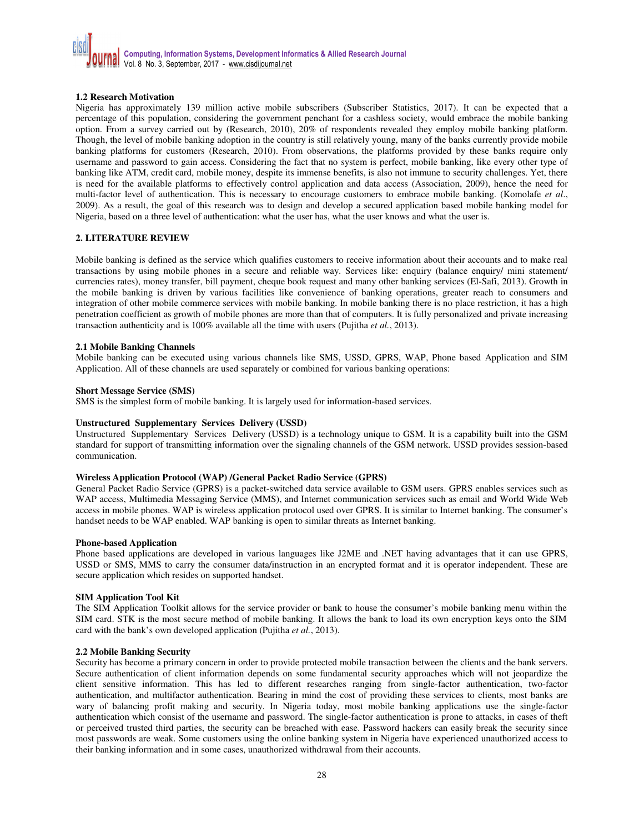

## **1.2 Research Motivation**

Nigeria has approximately 139 million active mobile subscribers (Subscriber Statistics, 2017). It can be expected that a percentage of this population, considering the government penchant for a cashless society, would embrace the mobile banking option. From a survey carried out by (Research, 2010), 20% of respondents revealed they employ mobile banking platform. Though, the level of mobile banking adoption in the country is still relatively young, many of the banks currently provide mobile banking platforms for customers (Research, 2010). From observations, the platforms provided by these banks require only username and password to gain access. Considering the fact that no system is perfect, mobile banking, like every other type of banking like ATM, credit card, mobile money, despite its immense benefits, is also not immune to security challenges. Yet, there is need for the available platforms to effectively control application and data access (Association, 2009), hence the need for multi-factor level of authentication. This is necessary to encourage customers to embrace mobile banking. (Komolafe *et al*., 2009). As a result, the goal of this research was to design and develop a secured application based mobile banking model for Nigeria, based on a three level of authentication: what the user has, what the user knows and what the user is.

## **2. LITERATURE REVIEW**

Mobile banking is defined as the service which qualifies customers to receive information about their accounts and to make real transactions by using mobile phones in a secure and reliable way. Services like: enquiry (balance enquiry/ mini statement/ currencies rates), money transfer, bill payment, cheque book request and many other banking services (El-Safi, 2013). Growth in the mobile banking is driven by various facilities like convenience of banking operations, greater reach to consumers and integration of other mobile commerce services with mobile banking. In mobile banking there is no place restriction, it has a high penetration coefficient as growth of mobile phones are more than that of computers. It is fully personalized and private increasing transaction authenticity and is 100% available all the time with users (Pujitha *et al.*, 2013).

## **2.1 Mobile Banking Channels**

Mobile banking can be executed using various channels like SMS, USSD, GPRS, WAP, Phone based Application and SIM Application. All of these channels are used separately or combined for various banking operations:

#### **Short Message Service (SMS)**

SMS is the simplest form of mobile banking. It is largely used for information-based services.

## **Unstructured Supplementary Services Delivery (USSD)**

Unstructured Supplementary Services Delivery (USSD) is a technology unique to GSM. It is a capability built into the GSM standard for support of transmitting information over the signaling channels of the GSM network. USSD provides session-based communication.

## **Wireless Application Protocol (WAP) /General Packet Radio Service (GPRS)**

General Packet Radio Service (GPRS) is a packet-switched data service available to GSM users. GPRS enables services such as WAP access, Multimedia Messaging Service (MMS), and Internet communication services such as email and World Wide Web access in mobile phones. WAP is wireless application protocol used over GPRS. It is similar to Internet banking. The consumer's handset needs to be WAP enabled. WAP banking is open to similar threats as Internet banking.

## **Phone-based Application**

Phone based applications are developed in various languages like J2ME and .NET having advantages that it can use GPRS, USSD or SMS, MMS to carry the consumer data/instruction in an encrypted format and it is operator independent. These are secure application which resides on supported handset.

# **SIM Application Tool Kit**

The SIM Application Toolkit allows for the service provider or bank to house the consumer's mobile banking menu within the SIM card. STK is the most secure method of mobile banking. It allows the bank to load its own encryption keys onto the SIM card with the bank's own developed application (Pujitha *et al.*, 2013).

## **2.2 Mobile Banking Security**

Security has become a primary concern in order to provide protected mobile transaction between the clients and the bank servers. Secure authentication of client information depends on some fundamental security approaches which will not jeopardize the client sensitive information. This has led to different researches ranging from single-factor authentication, two-factor authentication, and multifactor authentication. Bearing in mind the cost of providing these services to clients, most banks are wary of balancing profit making and security. In Nigeria today, most mobile banking applications use the single-factor authentication which consist of the username and password. The single-factor authentication is prone to attacks, in cases of theft or perceived trusted third parties, the security can be breached with ease. Password hackers can easily break the security since most passwords are weak. Some customers using the online banking system in Nigeria have experienced unauthorized access to their banking information and in some cases, unauthorized withdrawal from their accounts.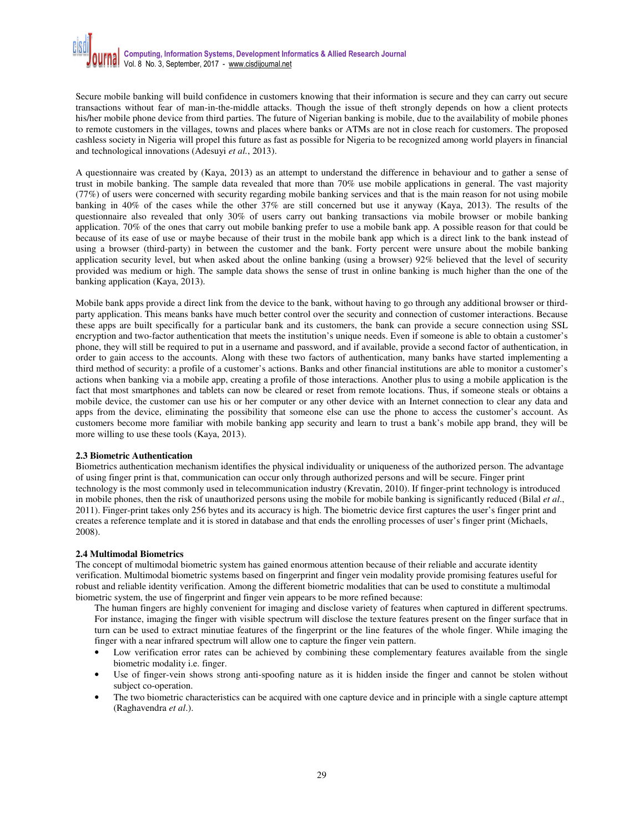Secure mobile banking will build confidence in customers knowing that their information is secure and they can carry out secure transactions without fear of man-in-the-middle attacks. Though the issue of theft strongly depends on how a client protects his/her mobile phone device from third parties. The future of Nigerian banking is mobile, due to the availability of mobile phones to remote customers in the villages, towns and places where banks or ATMs are not in close reach for customers. The proposed cashless society in Nigeria will propel this future as fast as possible for Nigeria to be recognized among world players in financial and technological innovations (Adesuyi *et al.*, 2013).

A questionnaire was created by (Kaya, 2013) as an attempt to understand the difference in behaviour and to gather a sense of trust in mobile banking. The sample data revealed that more than 70% use mobile applications in general. The vast majority (77%) of users were concerned with security regarding mobile banking services and that is the main reason for not using mobile banking in 40% of the cases while the other 37% are still concerned but use it anyway (Kaya, 2013). The results of the questionnaire also revealed that only 30% of users carry out banking transactions via mobile browser or mobile banking application. 70% of the ones that carry out mobile banking prefer to use a mobile bank app. A possible reason for that could be because of its ease of use or maybe because of their trust in the mobile bank app which is a direct link to the bank instead of using a browser (third-party) in between the customer and the bank. Forty percent were unsure about the mobile banking application security level, but when asked about the online banking (using a browser) 92% believed that the level of security provided was medium or high. The sample data shows the sense of trust in online banking is much higher than the one of the banking application (Kaya, 2013).

Mobile bank apps provide a direct link from the device to the bank, without having to go through any additional browser or thirdparty application. This means banks have much better control over the security and connection of customer interactions. Because these apps are built specifically for a particular bank and its customers, the bank can provide a secure connection using SSL encryption and two-factor authentication that meets the institution's unique needs. Even if someone is able to obtain a customer's phone, they will still be required to put in a username and password, and if available, provide a second factor of authentication, in order to gain access to the accounts. Along with these two factors of authentication, many banks have started implementing a third method of security: a profile of a customer's actions. Banks and other financial institutions are able to monitor a customer's actions when banking via a mobile app, creating a profile of those interactions. Another plus to using a mobile application is the fact that most smartphones and tablets can now be cleared or reset from remote locations. Thus, if someone steals or obtains a mobile device, the customer can use his or her computer or any other device with an Internet connection to clear any data and apps from the device, eliminating the possibility that someone else can use the phone to access the customer's account. As customers become more familiar with mobile banking app security and learn to trust a bank's mobile app brand, they will be more willing to use these tools (Kaya, 2013).

## **2.3 Biometric Authentication**

Biometrics authentication mechanism identifies the physical individuality or uniqueness of the authorized person. The advantage of using finger print is that, communication can occur only through authorized persons and will be secure. Finger print technology is the most commonly used in telecommunication industry (Krevatin, 2010). If finger-print technology is introduced in mobile phones, then the risk of unauthorized persons using the mobile for mobile banking is significantly reduced (Bilal *et al*., 2011). Finger-print takes only 256 bytes and its accuracy is high. The biometric device first captures the user's finger print and creates a reference template and it is stored in database and that ends the enrolling processes of user's finger print (Michaels, 2008).

## **2.4 Multimodal Biometrics**

The concept of multimodal biometric system has gained enormous attention because of their reliable and accurate identity verification. Multimodal biometric systems based on fingerprint and finger vein modality provide promising features useful for robust and reliable identity verification. Among the different biometric modalities that can be used to constitute a multimodal biometric system, the use of fingerprint and finger vein appears to be more refined because:

The human fingers are highly convenient for imaging and disclose variety of features when captured in different spectrums. For instance, imaging the finger with visible spectrum will disclose the texture features present on the finger surface that in turn can be used to extract minutiae features of the fingerprint or the line features of the whole finger. While imaging the finger with a near infrared spectrum will allow one to capture the finger vein pattern.

- Low verification error rates can be achieved by combining these complementary features available from the single biometric modality i.e. finger.
- Use of finger-vein shows strong anti-spoofing nature as it is hidden inside the finger and cannot be stolen without subject co-operation.
- The two biometric characteristics can be acquired with one capture device and in principle with a single capture attempt (Raghavendra *et al*.).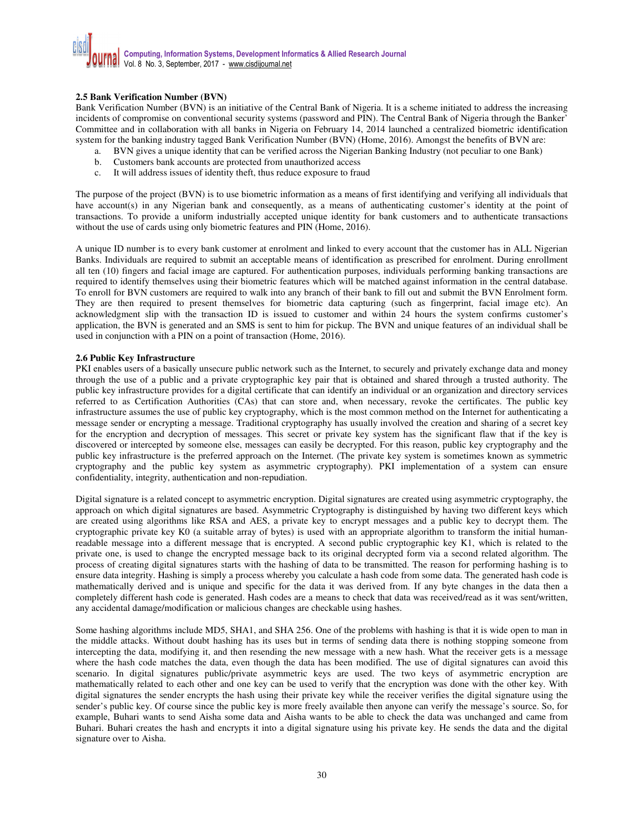## **2.5 Bank Verification Number (BVN)**

Bank Verification Number (BVN) is an initiative of the Central Bank of Nigeria. It is a scheme initiated to address the increasing incidents of compromise on conventional security systems (password and PIN). The Central Bank of Nigeria through the Banker' Committee and in collaboration with all banks in Nigeria on February 14, 2014 launched a centralized biometric identification system for the banking industry tagged Bank Verification Number (BVN) (Home, 2016). Amongst the benefits of BVN are:

- a. BVN gives a unique identity that can be verified across the Nigerian Banking Industry (not peculiar to one Bank)
- b. Customers bank accounts are protected from unauthorized access
- c. It will address issues of identity theft, thus reduce exposure to fraud

The purpose of the project (BVN) is to use biometric information as a means of first identifying and verifying all individuals that have account(s) in any Nigerian bank and consequently, as a means of authenticating customer's identity at the point of transactions. To provide a uniform industrially accepted unique identity for bank customers and to authenticate transactions without the use of cards using only biometric features and PIN (Home, 2016).

A unique ID number is to every bank customer at enrolment and linked to every account that the customer has in ALL Nigerian Banks. Individuals are required to submit an acceptable means of identification as prescribed for enrolment. During enrollment all ten (10) fingers and facial image are captured. For authentication purposes, individuals performing banking transactions are required to identify themselves using their biometric features which will be matched against information in the central database. To enroll for BVN customers are required to walk into any branch of their bank to fill out and submit the BVN Enrolment form. They are then required to present themselves for biometric data capturing (such as fingerprint, facial image etc). An acknowledgment slip with the transaction ID is issued to customer and within 24 hours the system confirms customer's application, the BVN is generated and an SMS is sent to him for pickup. The BVN and unique features of an individual shall be used in conjunction with a PIN on a point of transaction (Home, 2016).

#### **2.6 Public Key Infrastructure**

PKI enables users of a basically unsecure public network such as the Internet, to securely and privately exchange data and money through the use of a public and a private cryptographic key pair that is obtained and shared through a trusted authority. The public key infrastructure provides for a digital certificate that can identify an individual or an organization and directory services referred to as Certification Authorities (CAs) that can store and, when necessary, revoke the certificates. The public key infrastructure assumes the use of public key cryptography, which is the most common method on the Internet for authenticating a message sender or encrypting a message. Traditional cryptography has usually involved the creation and sharing of a secret key for the encryption and decryption of messages. This secret or private key system has the significant flaw that if the key is discovered or intercepted by someone else, messages can easily be decrypted. For this reason, public key cryptography and the public key infrastructure is the preferred approach on the Internet. (The private key system is sometimes known as symmetric cryptography and the public key system as asymmetric cryptography). PKI implementation of a system can ensure confidentiality, integrity, authentication and non-repudiation.

Digital signature is a related concept to asymmetric encryption. Digital signatures are created using asymmetric cryptography, the approach on which digital signatures are based. Asymmetric Cryptography is distinguished by having two different keys which are created using algorithms like RSA and AES, a private key to encrypt messages and a public key to decrypt them. The cryptographic private key K0 (a suitable array of bytes) is used with an appropriate algorithm to transform the initial humanreadable message into a different message that is encrypted. A second public cryptographic key K1, which is related to the private one, is used to change the encrypted message back to its original decrypted form via a second related algorithm. The process of creating digital signatures starts with the hashing of data to be transmitted. The reason for performing hashing is to ensure data integrity. Hashing is simply a process whereby you calculate a hash code from some data. The generated hash code is mathematically derived and is unique and specific for the data it was derived from. If any byte changes in the data then a completely different hash code is generated. Hash codes are a means to check that data was received/read as it was sent/written, any accidental damage/modification or malicious changes are checkable using hashes.

Some hashing algorithms include MD5, SHA1, and SHA 256. One of the problems with hashing is that it is wide open to man in the middle attacks. Without doubt hashing has its uses but in terms of sending data there is nothing stopping someone from intercepting the data, modifying it, and then resending the new message with a new hash. What the receiver gets is a message where the hash code matches the data, even though the data has been modified. The use of digital signatures can avoid this scenario. In digital signatures public/private asymmetric keys are used. The two keys of asymmetric encryption are mathematically related to each other and one key can be used to verify that the encryption was done with the other key. With digital signatures the sender encrypts the hash using their private key while the receiver verifies the digital signature using the sender's public key. Of course since the public key is more freely available then anyone can verify the message's source. So, for example, Buhari wants to send Aisha some data and Aisha wants to be able to check the data was unchanged and came from Buhari. Buhari creates the hash and encrypts it into a digital signature using his private key. He sends the data and the digital signature over to Aisha.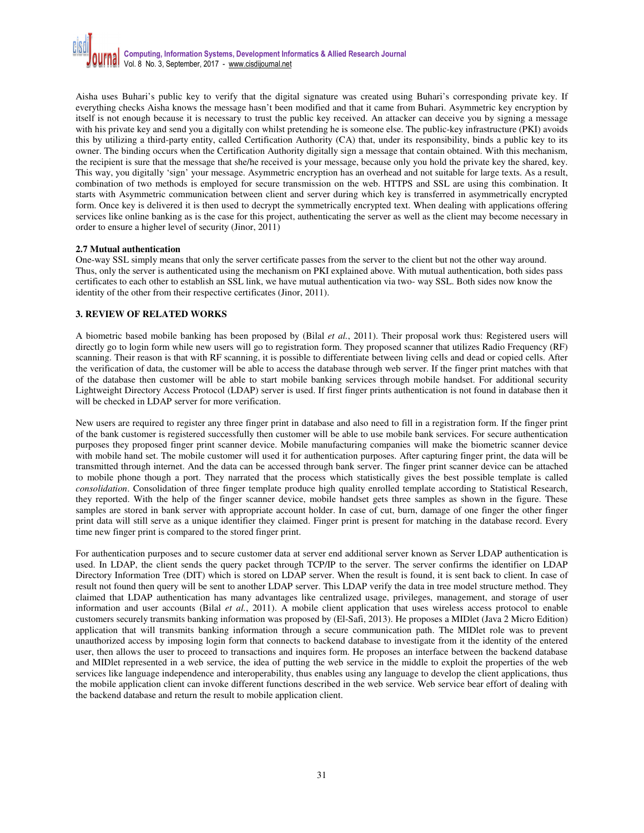

Aisha uses Buhari's public key to verify that the digital signature was created using Buhari's corresponding private key. If everything checks Aisha knows the message hasn't been modified and that it came from Buhari. Asymmetric key encryption by itself is not enough because it is necessary to trust the public key received. An attacker can deceive you by signing a message with his private key and send you a digitally con whilst pretending he is someone else. The public-key infrastructure (PKI) avoids this by utilizing a third-party entity, called Certification Authority (CA) that, under its responsibility, binds a public key to its owner. The binding occurs when the Certification Authority digitally sign a message that contain obtained. With this mechanism, the recipient is sure that the message that she/he received is your message, because only you hold the private key the shared, key. This way, you digitally 'sign' your message. Asymmetric encryption has an overhead and not suitable for large texts. As a result, combination of two methods is employed for secure transmission on the web. HTTPS and SSL are using this combination. It starts with Asymmetric communication between client and server during which key is transferred in asymmetrically encrypted form. Once key is delivered it is then used to decrypt the symmetrically encrypted text. When dealing with applications offering services like online banking as is the case for this project, authenticating the server as well as the client may become necessary in order to ensure a higher level of security (Jinor, 2011)

## **2.7 Mutual authentication**

One-way SSL simply means that only the server certificate passes from the server to the client but not the other way around. Thus, only the server is authenticated using the mechanism on PKI explained above. With mutual authentication, both sides pass certificates to each other to establish an SSL link, we have mutual authentication via two- way SSL. Both sides now know the identity of the other from their respective certificates (Jinor, 2011).

## **3. REVIEW OF RELATED WORKS**

A biometric based mobile banking has been proposed by (Bilal *et al.*, 2011). Their proposal work thus: Registered users will directly go to login form while new users will go to registration form. They proposed scanner that utilizes Radio Frequency (RF) scanning. Their reason is that with RF scanning, it is possible to differentiate between living cells and dead or copied cells. After the verification of data, the customer will be able to access the database through web server. If the finger print matches with that of the database then customer will be able to start mobile banking services through mobile handset. For additional security Lightweight Directory Access Protocol (LDAP) server is used. If first finger prints authentication is not found in database then it will be checked in LDAP server for more verification.

New users are required to register any three finger print in database and also need to fill in a registration form. If the finger print of the bank customer is registered successfully then customer will be able to use mobile bank services. For secure authentication purposes they proposed finger print scanner device. Mobile manufacturing companies will make the biometric scanner device with mobile hand set. The mobile customer will used it for authentication purposes. After capturing finger print, the data will be transmitted through internet. And the data can be accessed through bank server. The finger print scanner device can be attached to mobile phone though a port. They narrated that the process which statistically gives the best possible template is called *consolidation*. Consolidation of three finger template produce high quality enrolled template according to Statistical Research, they reported. With the help of the finger scanner device, mobile handset gets three samples as shown in the figure. These samples are stored in bank server with appropriate account holder. In case of cut, burn, damage of one finger the other finger print data will still serve as a unique identifier they claimed. Finger print is present for matching in the database record. Every time new finger print is compared to the stored finger print.

For authentication purposes and to secure customer data at server end additional server known as Server LDAP authentication is used. In LDAP, the client sends the query packet through TCP/IP to the server. The server confirms the identifier on LDAP Directory Information Tree (DIT) which is stored on LDAP server. When the result is found, it is sent back to client. In case of result not found then query will be sent to another LDAP server. This LDAP verify the data in tree model structure method. They claimed that LDAP authentication has many advantages like centralized usage, privileges, management, and storage of user information and user accounts (Bilal *et al.*, 2011). A mobile client application that uses wireless access protocol to enable customers securely transmits banking information was proposed by (El-Safi, 2013). He proposes a MIDlet (Java 2 Micro Edition) application that will transmits banking information through a secure communication path. The MIDlet role was to prevent unauthorized access by imposing login form that connects to backend database to investigate from it the identity of the entered user, then allows the user to proceed to transactions and inquires form. He proposes an interface between the backend database and MIDlet represented in a web service, the idea of putting the web service in the middle to exploit the properties of the web services like language independence and interoperability, thus enables using any language to develop the client applications, thus the mobile application client can invoke different functions described in the web service. Web service bear effort of dealing with the backend database and return the result to mobile application client.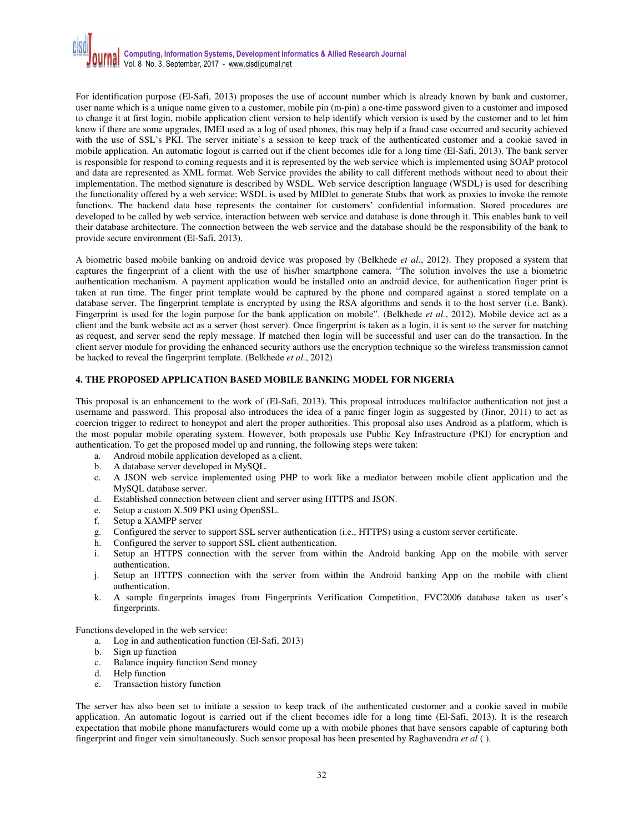

For identification purpose (El-Safi, 2013) proposes the use of account number which is already known by bank and customer, user name which is a unique name given to a customer, mobile pin (m-pin) a one-time password given to a customer and imposed to change it at first login, mobile application client version to help identify which version is used by the customer and to let him know if there are some upgrades, IMEI used as a log of used phones, this may help if a fraud case occurred and security achieved with the use of SSL's PKI. The server initiate's a session to keep track of the authenticated customer and a cookie saved in mobile application. An automatic logout is carried out if the client becomes idle for a long time (El-Safi, 2013). The bank server is responsible for respond to coming requests and it is represented by the web service which is implemented using SOAP protocol and data are represented as XML format. Web Service provides the ability to call different methods without need to about their implementation. The method signature is described by WSDL. Web service description language (WSDL) is used for describing the functionality offered by a web service; WSDL is used by MIDlet to generate Stubs that work as proxies to invoke the remote functions. The backend data base represents the container for customers' confidential information. Stored procedures are developed to be called by web service, interaction between web service and database is done through it. This enables bank to veil their database architecture. The connection between the web service and the database should be the responsibility of the bank to provide secure environment (El-Safi, 2013).

A biometric based mobile banking on android device was proposed by (Belkhede *et al.*, 2012). They proposed a system that captures the fingerprint of a client with the use of his/her smartphone camera. "The solution involves the use a biometric authentication mechanism. A payment application would be installed onto an android device, for authentication finger print is taken at run time. The finger print template would be captured by the phone and compared against a stored template on a database server. The fingerprint template is encrypted by using the RSA algorithms and sends it to the host server (i.e. Bank). Fingerprint is used for the login purpose for the bank application on mobile". (Belkhede *et al.*, 2012). Mobile device act as a client and the bank website act as a server (host server). Once fingerprint is taken as a login, it is sent to the server for matching as request, and server send the reply message. If matched then login will be successful and user can do the transaction. In the client server module for providing the enhanced security authors use the encryption technique so the wireless transmission cannot be hacked to reveal the fingerprint template. (Belkhede *et al.*, 2012)

## **4. THE PROPOSED APPLICATION BASED MOBILE BANKING MODEL FOR NIGERIA**

This proposal is an enhancement to the work of (El-Safi, 2013). This proposal introduces multifactor authentication not just a username and password. This proposal also introduces the idea of a panic finger login as suggested by (Jinor, 2011) to act as coercion trigger to redirect to honeypot and alert the proper authorities. This proposal also uses Android as a platform, which is the most popular mobile operating system. However, both proposals use Public Key Infrastructure (PKI) for encryption and authentication. To get the proposed model up and running, the following steps were taken:

- a. Android mobile application developed as a client.
- b. A database server developed in MySQL.
- c. A JSON web service implemented using PHP to work like a mediator between mobile client application and the MySQL database server.
- d. Established connection between client and server using HTTPS and JSON.
- e. Setup a custom X.509 PKI using OpenSSL.
- f. Setup a XAMPP server
- g. Configured the server to support SSL server authentication (i.e., HTTPS) using a custom server certificate.
- h. Configured the server to support SSL client authentication.
- i. Setup an HTTPS connection with the server from within the Android banking App on the mobile with server authentication.
- j. Setup an HTTPS connection with the server from within the Android banking App on the mobile with client authentication.
- k. A sample fingerprints images from Fingerprints Verification Competition, FVC2006 database taken as user's fingerprints.

Functions developed in the web service:

- a. Log in and authentication function (El-Safi, 2013)
- b. Sign up function
- c. Balance inquiry function Send money
- d. Help function
- e. Transaction history function

The server has also been set to initiate a session to keep track of the authenticated customer and a cookie saved in mobile application. An automatic logout is carried out if the client becomes idle for a long time (El-Safi, 2013). It is the research expectation that mobile phone manufacturers would come up a with mobile phones that have sensors capable of capturing both fingerprint and finger vein simultaneously. Such sensor proposal has been presented by Raghavendra *et al* ( ).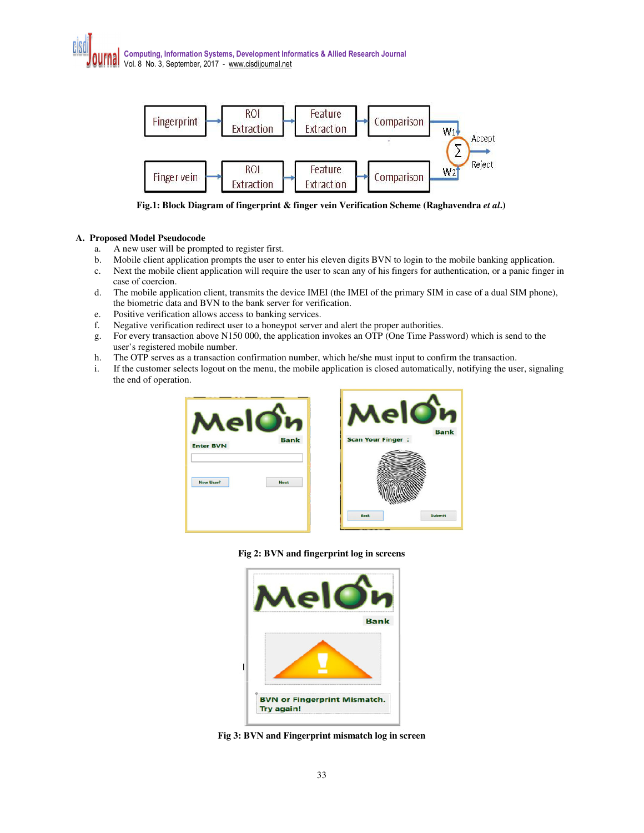

**Fig.1: Block Diagram of fingerprint & finger vein Verification Scheme (Raghavendra** *et al***.)** 

# **A. Proposed Model Pseudocode**

- a. A new user will be prompted to register first.
- b. Mobile client application prompts the user to enter his eleven digits BVN to login to the mobile banking application.
- c. Next the mobile client application will require the user to scan any of his fingers for authentication, or a panic finger in case of coercion.
- d. The mobile application client, transmits the device IMEI (the IMEI of the primary SIM in case of a dual SIM phone), the biometric data and BVN to the bank server for verification.
- e. Positive verification allows access to banking services.
- f. Negative verification redirect user to a honeypot server and alert the proper authorities.
- g. For every transaction above N150 000, the application invokes an OTP (One Time Password) which is send to the user's registered mobile number.
- h. The OTP serves as a transaction confirmation number, which he/she must input to confirm the transaction.
- i. If the customer selects logout on the menu, the mobile application is closed automatically, notifying the user, signaling the end of operation.





**Fig 2: BVN and fingerprint log in screens** 



**Fig 3: BVN and Fingerprint mismatch log in screen**